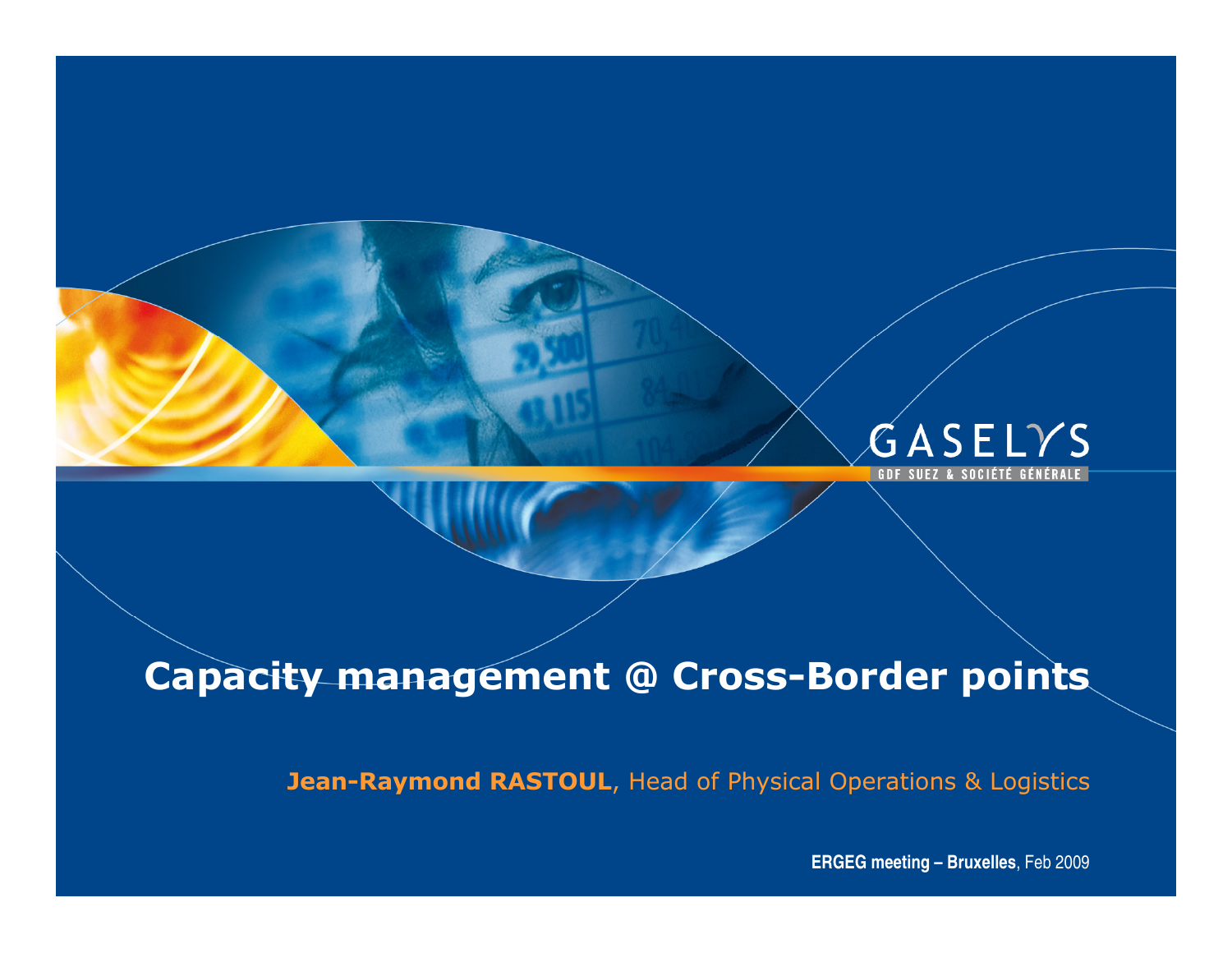

# Capacity management @ Cross-Border points

Jean-Raymond RASTOUL, Head of Physical Operations & Logistics

**ERGEG meeting – Bruxelles**, Feb 2009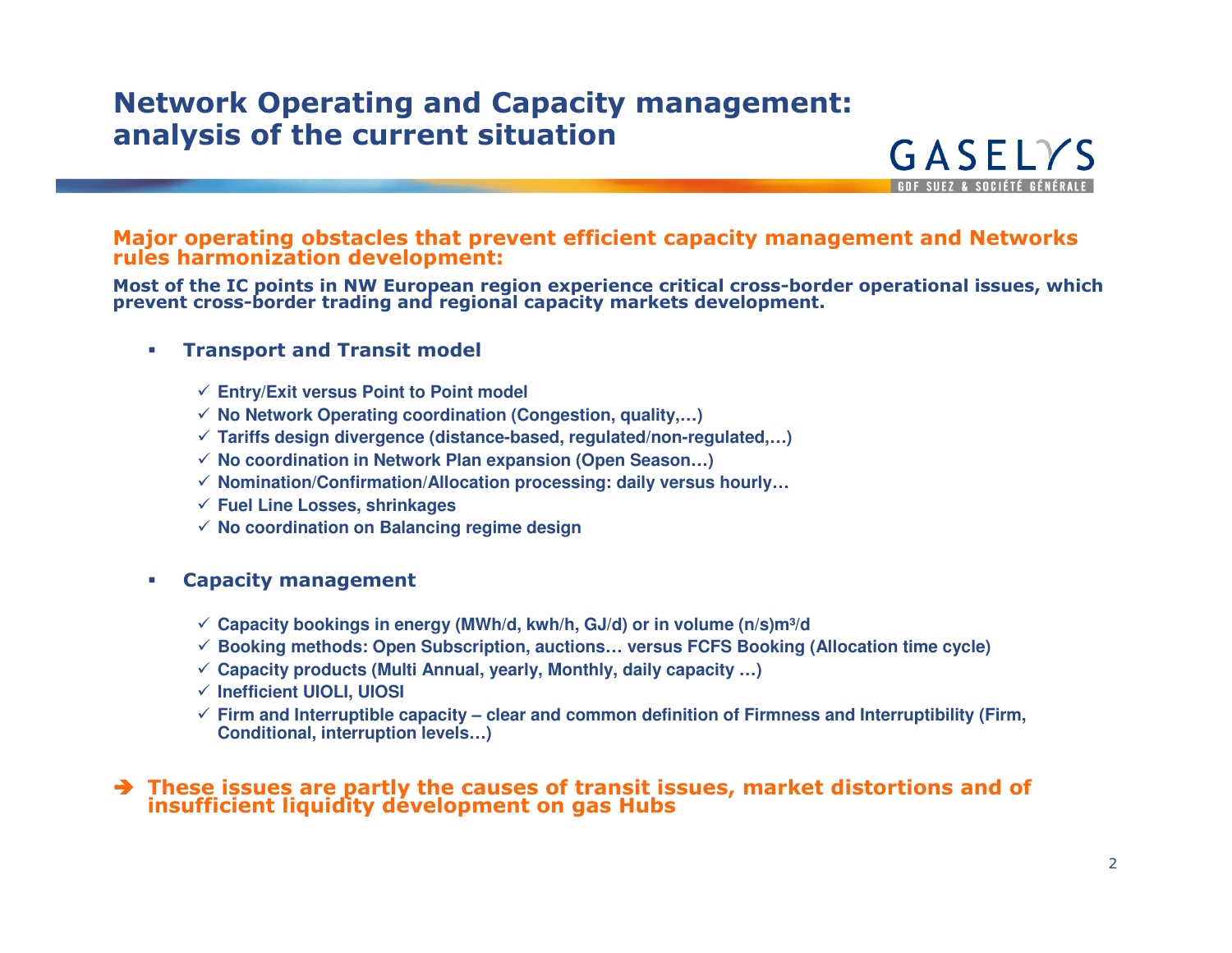### Network Operating and Capacity management: analysis of the current situation

Major operating obstacles that prevent efficient capacity management and Networks rules harmonization development:

Most of the IC points in NW European region experience critical cross-border operational issues, whichprevent cross-border trading and regional capacity markets development.

#### $\mathcal{L}_{\mathcal{A}}$ Transport and Transit model

- **Entry/Exit versus Point to Point model**
- **No Network Operating coordination (Congestion, quality,…)**
- **Tariffs design divergence (distance-based, regulated/non-regulated,…)**
- **No coordination in Network Plan expansion (Open Season…)**
- **Nomination/Confirmation/Allocation processing: daily versus hourly…**
- **Fuel Line Losses, shrinkages**
- **No coordination on Balancing regime design**
- $\mathcal{L}_{\mathcal{A}}$  Capacity management
	- **<del>
	</del>
	∴ Capacity bookings in energy (MWh/d, kwh/h, GJ/d) or in volume (n/s)m<sup>3</sup>/d<br>
	△ Particularly 2008 of the initial control in the FOFO Particularly**
	- **Booking methods: Open Subscription, auctions… versus FCFS Booking (Allocation time cycle)**
	- **Capacity products (Multi Annual, yearly, Monthly, daily capacity …)**
	- **Inefficient UIOLI, UIOSI**
	- **Firm and Interruptible capacity – clear and common definition of Firmness and Interruptibility (Firm, Conditional, interruption levels…)**

# $\rightarrow$  These issues are partly the causes of transit issues, market distortions and of insufficient liquidity development on gas Hubs

GASELYS **GDE SUEZ & SOCIÉTÉ GÉNÉRALE**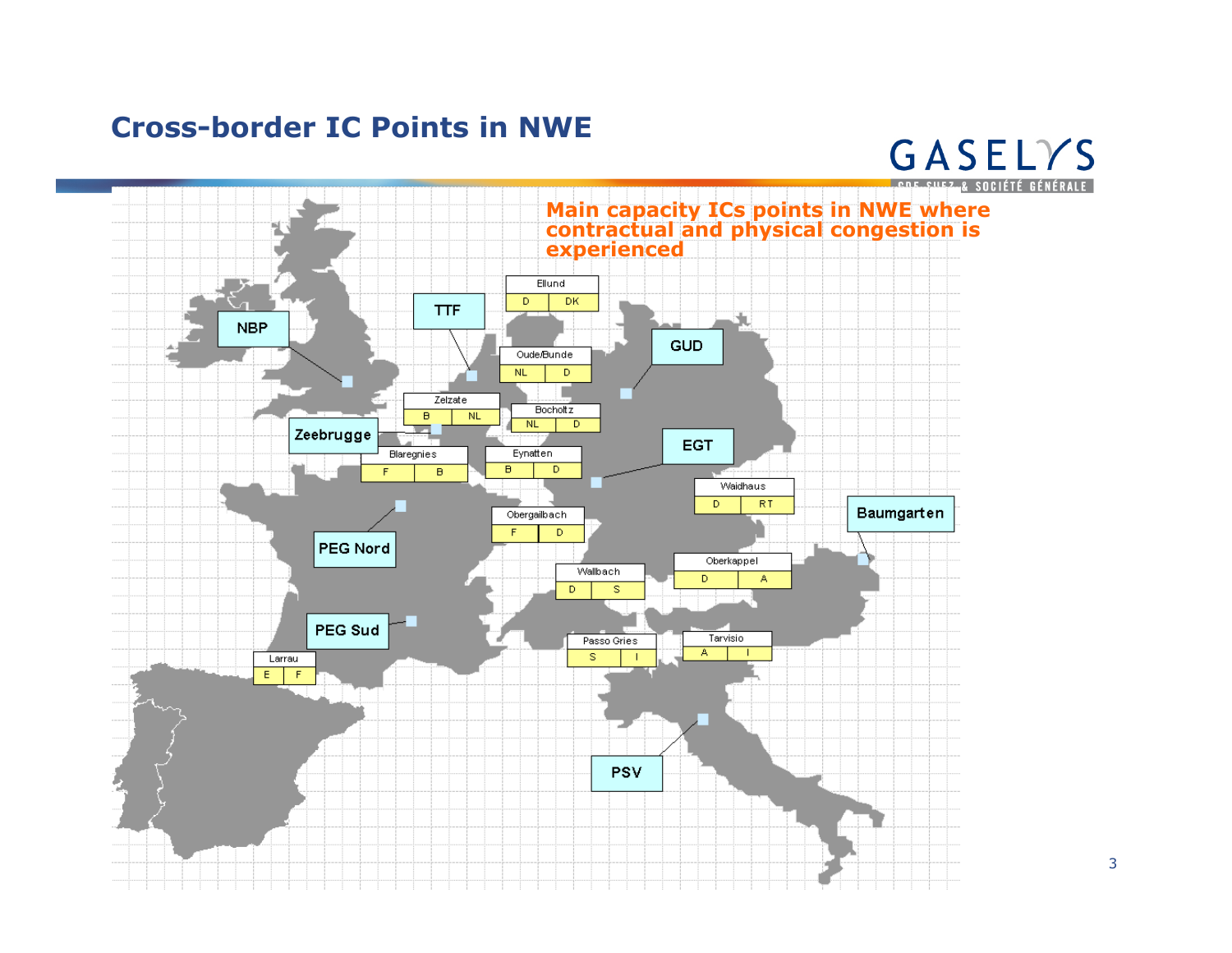## Cross-border IC Points in NWE



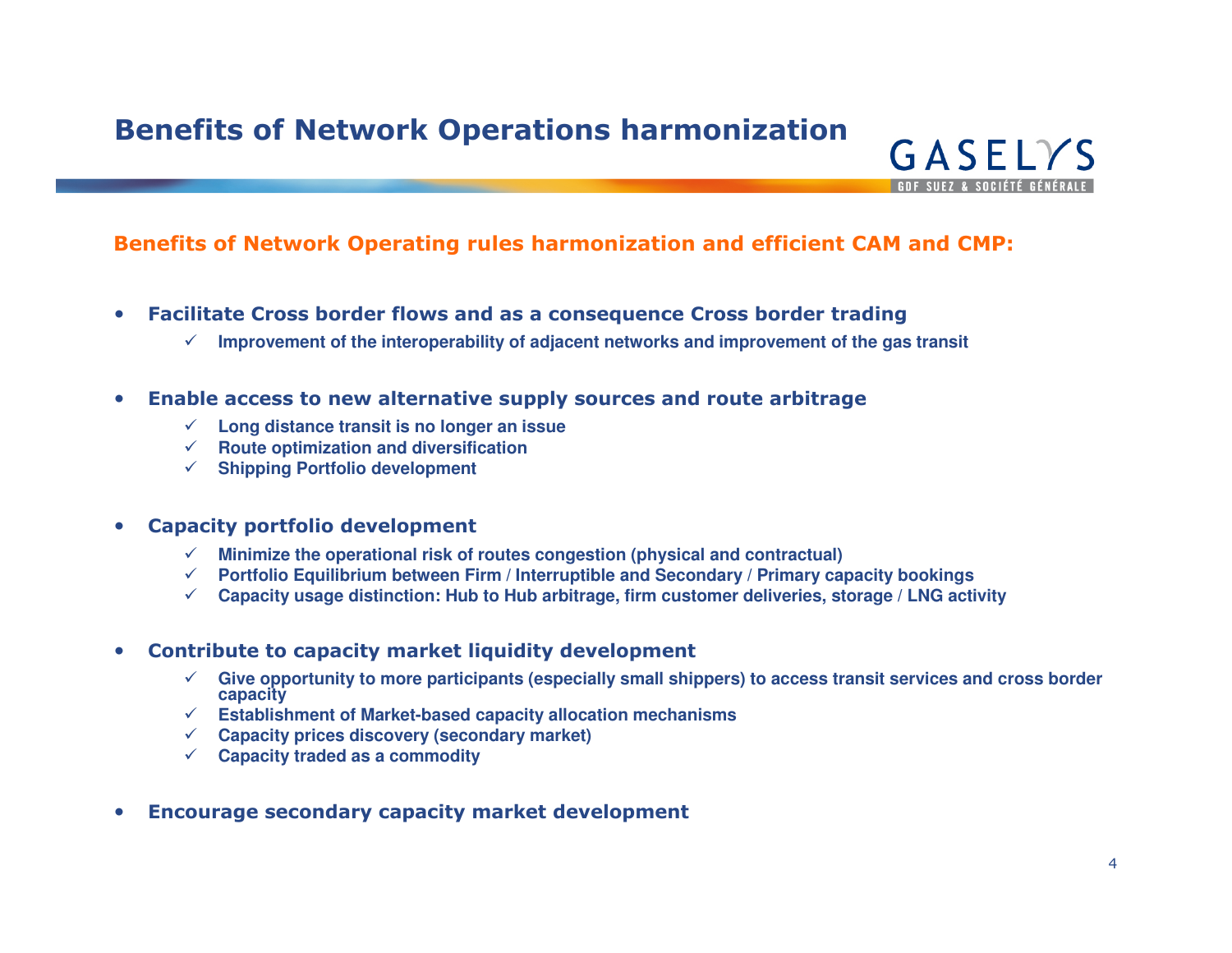## Benefits of Network Operations harmonization

### Benefits of Network Operating rules harmonization and efficient CAM and CMP:

- $\bullet$  Facilitate Cross border flows and as a consequence Cross border trading
	- $\checkmark$  Improvement of the interoperability of adjacent networks and improvement of the gas transit
- $\bullet$  Enable access to new alternative supply sources and route arbitrage
	- **Long distance transit is no longer an issue**
	- **Route optimization and diversification**
	- **Shipping Portfolio development**

#### $\bullet$ Capacity portfolio development

- **Minimize the operational risk of routes congestion (physical and contractual)**
- **Portfolio Equilibrium between Firm / Interruptible and Secondary / Primary capacity bookings**
- **Capacity usage distinction: Hub to Hub arbitrage, firm customer deliveries, storage / LNG activity**

#### $\bullet$ Contribute to capacity market liquidity development

- **Give opportunity to more participants (especially small shippers) to access transit services and cross border capacity**
- **Establishment of Market-based capacity allocation mechanisms**
- **Capacity prices discovery (secondary market)**
- **Capacity traded as a commodity**
- •Encourage secondary capacity market development

GASELYS **GDE SUEZ & SOCIÉTÉ GÉNÉRALE**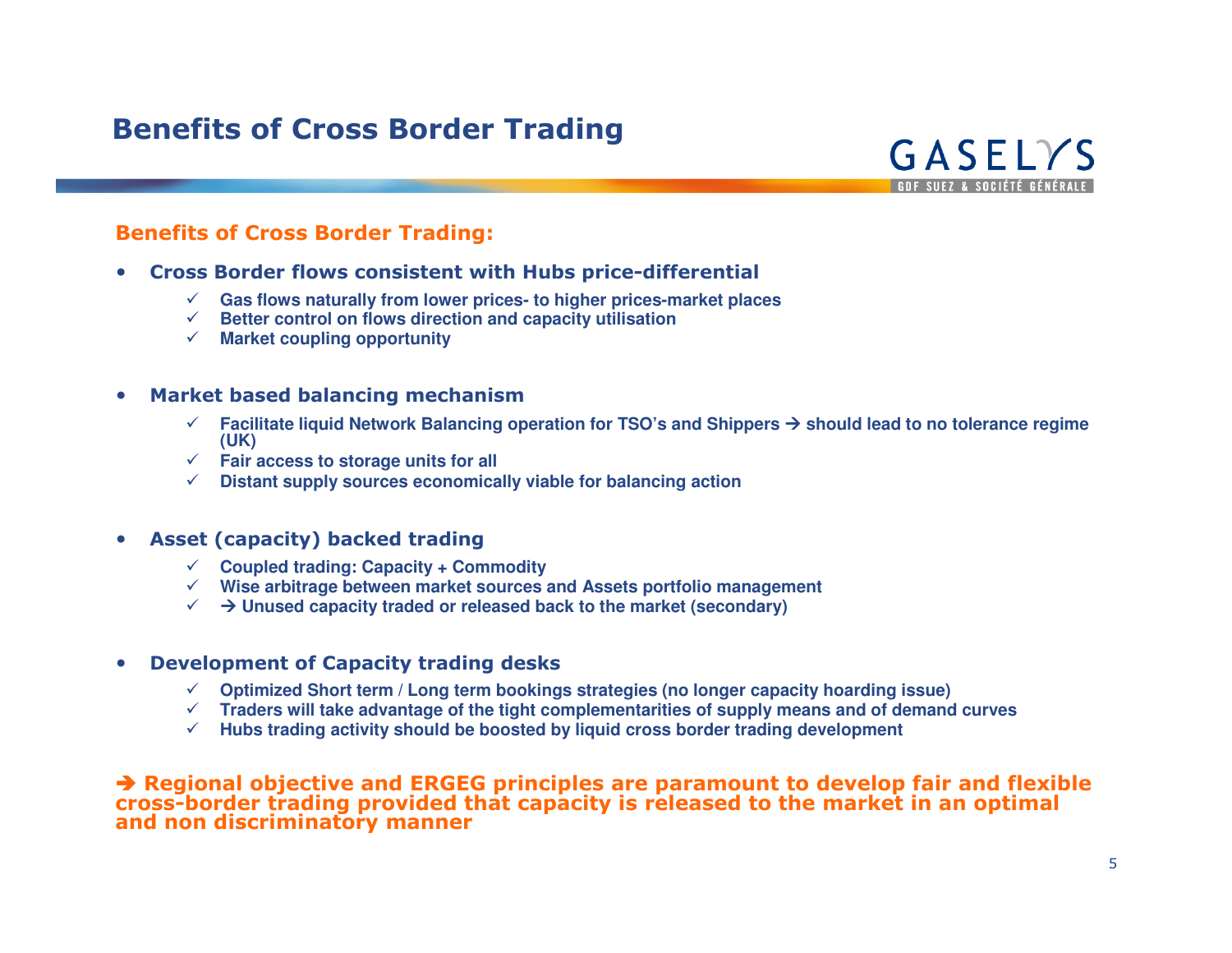## Benefits of Cross Border Trading



### Benefits of Cross Border Trading:

- Cross Border flows consistent with Hubs price-differential
	- **Gas flows naturally from lower prices- to higher prices-market places**
	- **Better control on flows direction and capacity utilisation**
	- **Market coupling opportunity**

#### •Market based balancing mechanism

- **Facilitate liquid Network Balancing operation for TSO's and Shippers should lead to no tolerance regime (UK)**
- **Fair access to storage units for all**
- **Distant supply sources economically viable for balancing action**

#### $\bullet$ Asset (capacity) backed trading

- **Coupled trading: Capacity + Commodity**
- **Wise arbitrage between market sources and Assets portfolio management**
- **Unused capacity traded or released back to the market (secondary)**

#### •Development of Capacity trading desks

- **Optimized Short term / Long term bookings strategies (no longer capacity hoarding issue)**
- **Traders will take advantage of the tight complementarities of supply means and of demand curves**
- **Hubs trading activity should be boosted by liquid cross border trading development**

### $\blacktriangleright$  Regional objective and ERGEG principles are paramount to develop fair and flexible<br>cross-border trading provided that capacity is released to the market in an optimal and non discriminatory manner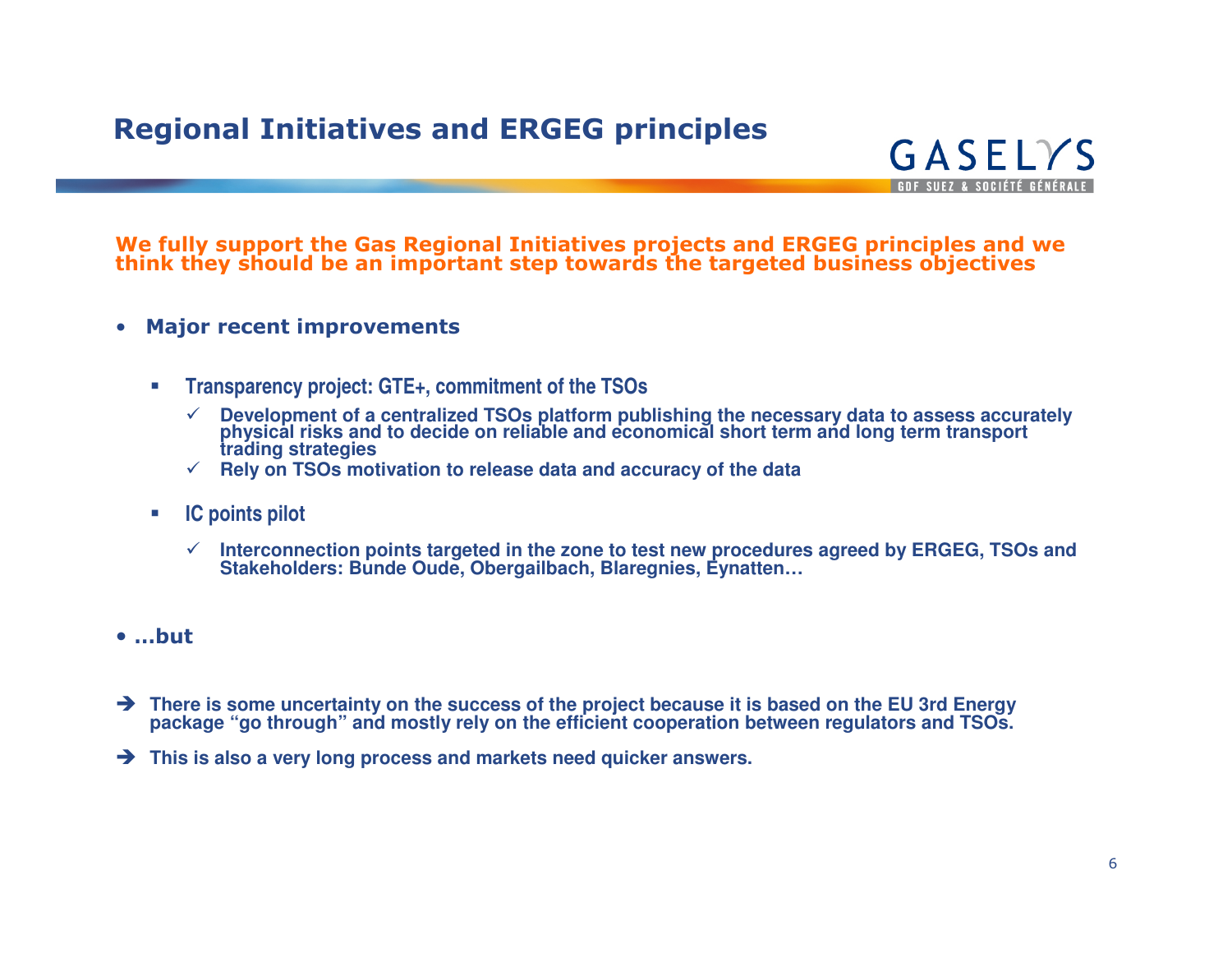## Regional Initiatives and ERGEG principles



# We fully support the Gas Regional Initiatives projects and ERGEG principles and we think they should be an important step towards the targeted business objectives

- • Major recent improvements
	- $\mathcal{L}_{\mathcal{A}}$  **Transparency project: GTE+, commitment of the TSOs**
		- $\checkmark$  Development of a centralized TSOs platform publishing the necessary data to assess accurately physical risks and to decide on reliable and economical short term and long term transport trading strategies
		- **Rely on TSOs motivation to release data and accuracy of the data**
	- $\mathcal{L}_{\mathcal{A}}$  **IC points pilot**
		- **Interconnection points targeted in the zone to test new procedures agreed by ERGEG, TSOs and Stakeholders: Bunde Oude, Obergailbach, Blaregnies, Eynatten…**
- …but
- $\rightarrow$  There is some uncertainty on the success of the project because it is based on the EU 3rd Energy → There is some uncertainty on the success of the project because it is based on the EU 3rd Energy package "go through" and mostly rely on the efficient cooperation between regulators and TSOs.
- **This is also a very long process and markets need quicker answers.**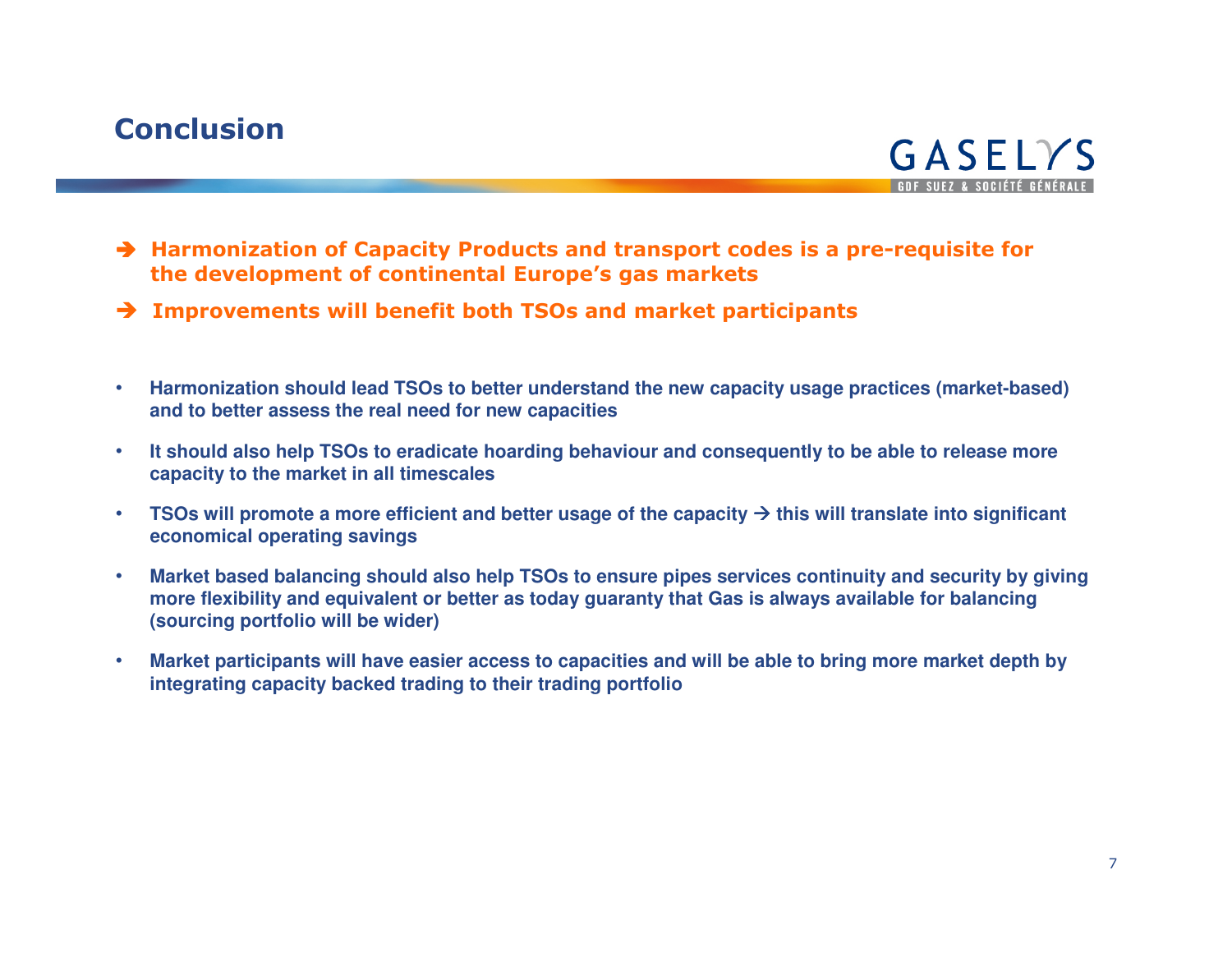## **Conclusion**



- $\rightarrow$  Harmonization of Capacity Products and transport codes is a pre-requisite for the development of continental Furope's gas markets the development of continental Europe's gas markets
- → Improvements will benefit both TSOs and market participants
- $\bullet$  **Harmonization should lead TSOs to better understand the new capacity usage practices (market-based) and to better assess the real need for new capacities**
- $\bullet$  **It should also help TSOs to eradicate hoarding behaviour and consequently to be able to release more capacity to the market in all timescales**
- $\bullet$  **TSOs will promote a more efficient and better usage of the capacity this will translate into significant economical operating savings**
- $\bullet$  **Market based balancing should also help TSOs to ensure pipes services continuity and security by giving more flexibility and equivalent or better as today guaranty that Gas is always available for balancing (sourcing portfolio will be wider)**
- $\bullet$  **Market participants will have easier access to capacities and will be able to bring more market depth by integrating capacity backed trading to their trading portfolio**